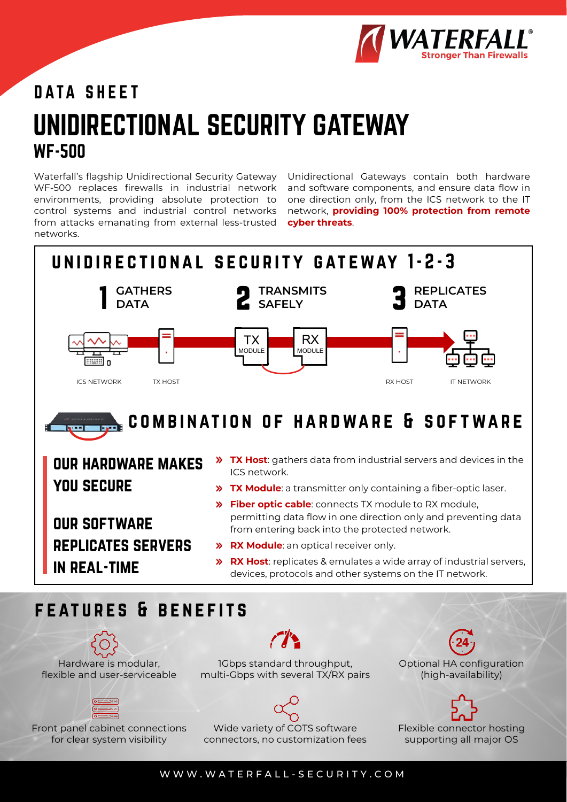

# UNIDIRECTIONAL SECURITY GATEWAY WF-500 DATA SHEET

Waterfall's flagship Unidirectional Security Gateway WF-500 replaces firewalls in industrial network environments, providing absolute protection to control systems and industrial control networks from attacks emanating from external less-trusted networks.

Unidirectional Gateways contain both hardware and software components, and ensure data flow in one direction only, from the ICS network to the IT network, **providing 100% protection from remote cyber threats**.



Hardware is modular, flexible and user-serviceable

Front panel cabinet connections for clear system visibility

1Gbps standard throughput, multi-Gbps with several TX/RX pairs Optional HA configuration (high-availability)

Flexible connector hosting supporting all major OS



Wide variety of COTS software connectors, no customization fees

WWW.WATERFALL - SECURITY.COM